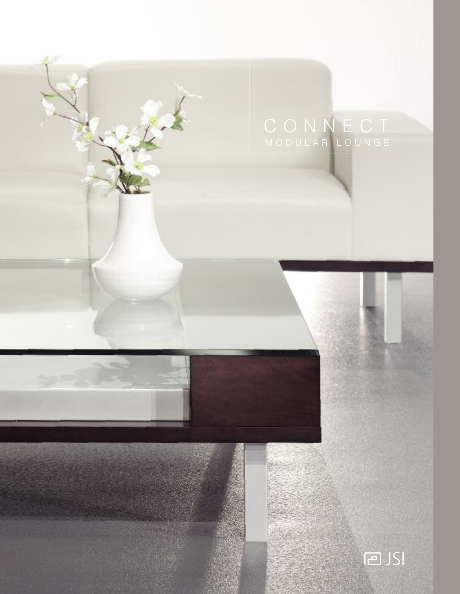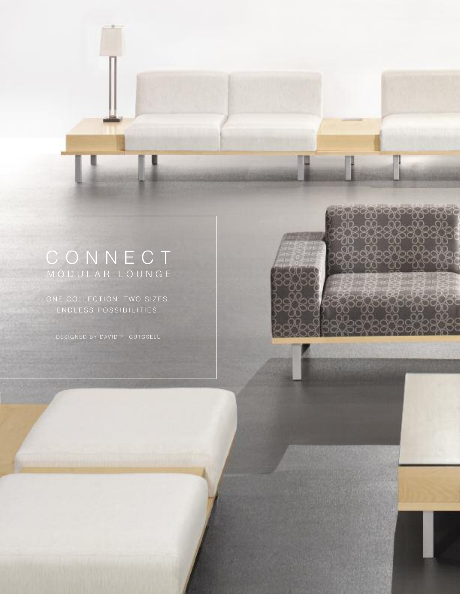### C O N N E C T M O D U L A R L O U N G E

ONE COLLECTION. TWO SIZES. EN D LESS POSSIBILITIES.

DESIGNED BY DAVID R. GUTGSELL

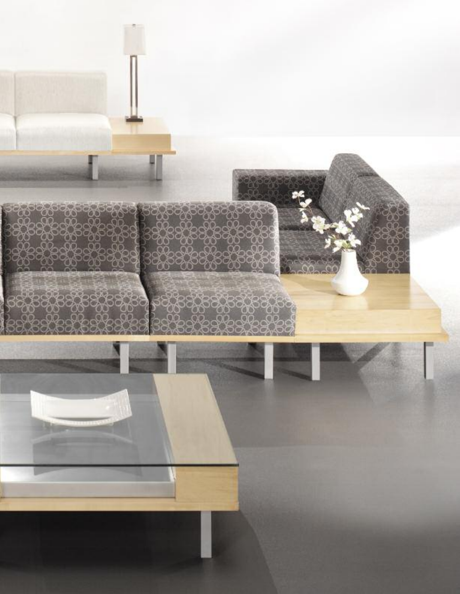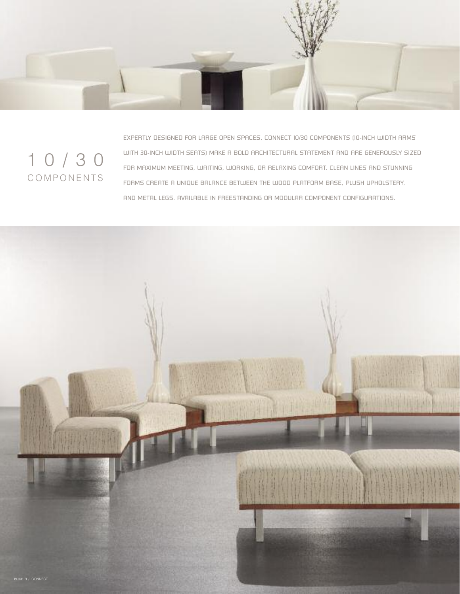

### 1 0 / 3 0 **COMPONENTS**

EXPERTLY DESIGNED FOR LARGE OPEN SPACES, CONNECT 10/30 COMPONENTS (10-INCH WIDTH ARMS WITH 30-INCH WIDTH SEATS) MAKE A BOLD ARCHITECTURAL STATEMENT AND ARE GENEROUSLY SIZED FOR MAXIMUM MEETING, WAITING, WORKING, OR RELAXING COMFORT. CLEAN LINES AND STUNNING FORMS CREATE A UNIQUE BALANCE BETWEEN THE WOOD PLATFORM BASE, PLUSH UPHOLSTERY, AND METAL LEGS. AVAILABLE IN FREESTANDING OR MODULAR COMPONENT CONFIGURATIONS.

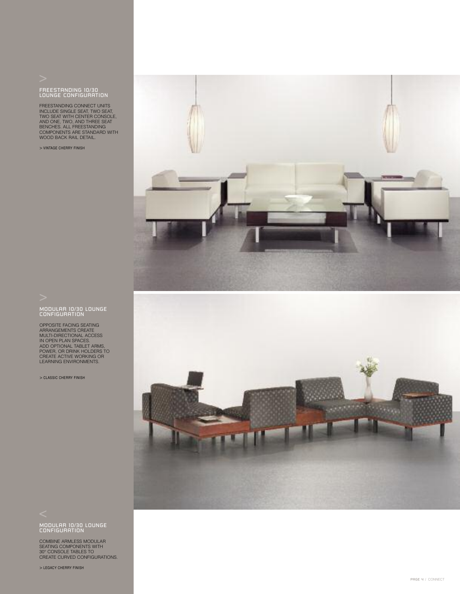FREESTANDING 10/30 LOUNGE CONFIGURATION

FREESTANDING CONNECT UNITS<br>INCLUDE SINGLE SEAT, TWO SEAT,<br>TWO SEAT WITH CENTER CONSOLE,<br>AND ONE, TWO, AND THREE SEAT<br>BENCHES. ALL FREESTANDING<br>COMPONENTS ARE STANDARD WITH<br>WOOD BACK RAIL DETAIL.

> VINTAGE CHERRY FINISH



MODULAR 10/30 LOUNGE CONFIGURATION

OPPOSITE FACING SEATING<br>ARRANGEMENTS CREATE<br>MULTI-DIRECTIONAL ACCESS<br>IN OPEN PLAN SPACES.<br>ADD OPTIONAL TABLET ARMS,<br>POWER, OR DRINK HOLDERS TO<br>CFEARNING ENVIRONMENTS.<br>LEARNING ENVIRONMENTS.

> CLASSIC CHERRY FINISH



MODULAR 10/30 LOUNGE CONFIGURATION

COMBINE ARMLESS MODULAR SEATING COMPONENTS WITH 30° CONSOLE TABLES TO CREATE CURVED CONFIGURATIONS.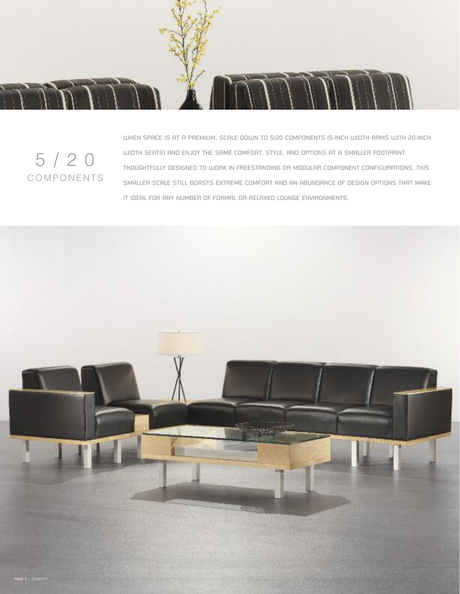

## 5 / 2 0 **COMPONENTS**

WHEN SPACE IS AT A PREMIUM, SCALE DOWN TO 5/20 COMPONENTS (5-INCH WIDTH ARMS WITH 20-INCH WIDTH SEATS) AND ENJOY THE SAME COMFORT, STYLE, AND OPTIONS AT A SMALLER FOOTPRINT. THOUGHTFULLY DESIGNED TO WORK IN FREESTANDING OR MODULAR COMPONENT CONFIGURATIONS, THIS SMALLER SCALE STILL BOASTS EXTREME COMFORT AND AN ABUNDANCE OF DESIGN OPTIONS THAT MAKE IT IDEAL FOR ANY NUMBER OF FORMAL OR RELAXED LOUNGE ENVIRONMENTS.

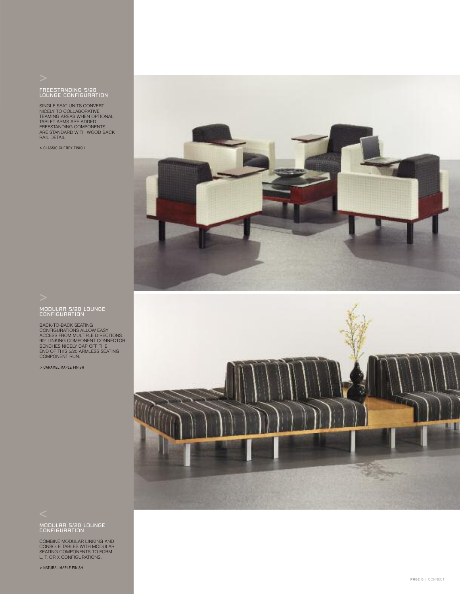FREESTANDING 5/20 LOUNGE CONFIGURATION

SINGLE SEAT UNITS CONVERT<br>NICELY TO COLLABORATIVE<br>TEAMING AREAS WHEN OPTIONAL<br>TABLET ARMS ARE ADDED.<br>FREESTANDING COMPONENTS<br>ARE STANDARD WITH WOOD BACK<br>RAIL DETAIL.

> CLASSIC CHERRY FINISH



MODULAR 5/20 LOUNGE CONFIGURATION

BACK-TO-BACK SEATING<br>CONFIGURATIONS ALLOW EASY<br>ACCESS FROM MULTIPLE DIRECTIONS.<br>90° LINKING COMPONENT CONNECTOR<br>BENCHES NICELY CAP OFF THE<br>END OF THIS 5/20 ARMLESS SEATING<br>COMPONENT RUN.

> CARAMEL MAPLE FINISH



MODULAR 5/20 LOUNGE CONFIGURATION

COMBINE MODULAR LINKING AND CONSOLE TABLES WITH MODULAR SEATING COMPONENTS TO FORM L, T, OR X CONFIGURATIONS.

> NATURAL MAPLE FINISH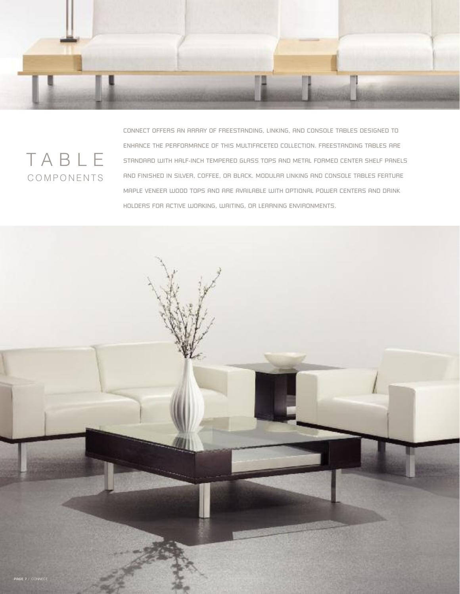

### T A B L E **COMPONENTS**

CONNECT OFFERS AN ARRAY OF FREESTANDING, LINKING, AND CONSOLE TABLES DESIGNED TO ENHANCE THE PERFORMANCE OF THIS MULTIFACETED COLLECTION. FREESTANDING TABLES ARE STANDARD WITH HALF-INCH TEMPERED GLASS TOPS AND METAL FORMED CENTER SHELF PANELS AND FINISHED IN SILVER, COFFEE, OR BLACK. MODULAR LINKING AND CONSOLE TABLES FEATURE MAPLE VENEER WOOD TOPS AND ARE AVAILABLE WITH OPTIONAL POWER CENTERS AND DRINK HOLDERS FOR ACTIVE WORKING, WAITING, OR LEARNING ENVIRONMENTS.

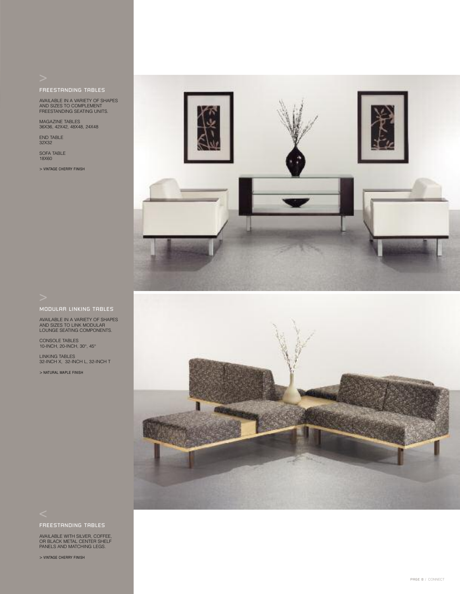### FREESTANDING TABLES

AVAILABLE IN A VARIETY OF SHAPES AND SIZES TO COMPLEMENT FREESTANDING SEATING UNITS.

MAGAZINE TABLES 36X36, 42X42, 48X48, 24X48

END TABLE 32X32

SOFA TABLE 18X60

> VINTAGE CHERRY FINISH



MODULAR LINKING TABLES

AVAILABLE IN A VARIETY OF SHAPES AND SIZES TO LINK MODULAR LOUNGE SEATING COMPONENTS.

CONSOLE TABLES 10-INCH, 20-INCH, 30°, 45°

LINKING TABLES 32-INCH X, 32-INCH L, 32-INCH T

> NATURAL MAPLE FINISH



FREESTANDING TABLES

AVAILABLE WITH SILVER, COFFEE, OR BLACK METAL CENTER SHELF PANELS AND MATCHING LEGS.

> VINTAGE CHERRY FINISH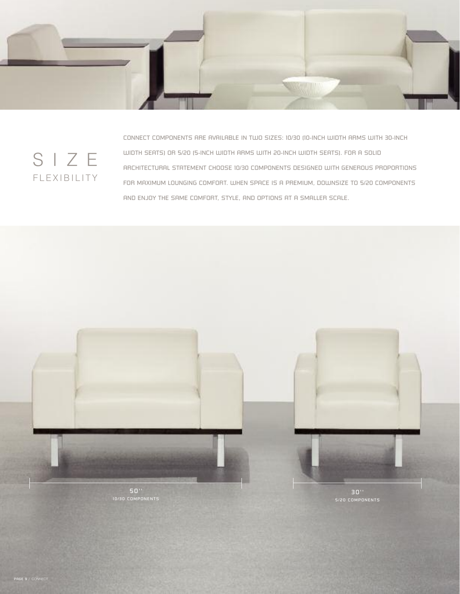

## S I Z E FLEXIBILITY

CONNECT COMPONENTS ARE AVAILABLE IN TWO SIZES: 10/30 (10-INCH WIDTH ARMS WITH 30-INCH WIDTH SEATS) OR 5/20 (5-INCH WIDTH ARMS WITH 20-INCH WIDTH SEATS). FOR A SOLID ARCHITECTURAL STATEMENT CHOOSE 10/30 COMPONENTS DESIGNED WITH GENEROUS PROPORTIONS FOR MAXIMUM LOUNGING COMFORT. WHEN SPACE IS A PREMIUM, DOWNSIZE TO 5/20 COMPONENTS AND ENJOY THE SAME COMFORT, STYLE, AND OPTIONS AT A SMALLER SCALE.

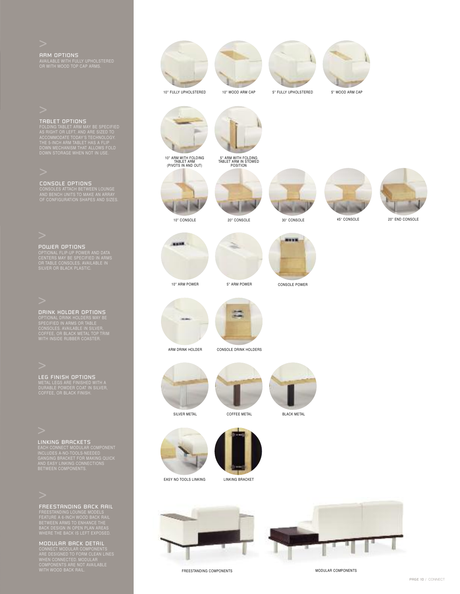ARM OPTIONS AVAILABLE WITH FULLY UPHOLSTERED OR WITH WOOD TOP CAP ARMS.



TABLET OPTIONS FOLDING TABLET ARM MAY BE SPECIFIED AS RIGHT OR LEFT, AND ARE SIZED TO ACCOMMODATE TODAY'S TECHNOLOGY. THE 5-INCH ARM TABLET HAS A FLIP DOWN MECHANISM THAT ALLOWS FOLD DOWN STORAGE WHEN NOT IN USE.



CONSOLE OPTIONS CONSOLES ATTACH BETWEEN LOUNGE AND BENCH UNITS TO MAKE AN ARRAY OF CONFIGURATION SHAPES AND SIZES.



**POWER OPTIONS**<br>OPTIONAL FLIP-UP POWER AND DATA<br>CENTERS MAY BE SPECIFIED IN ARMS<br>OR TABLE CONSOLES. AVAILABLE IN<br>SILVER OR BLACK PLASTIC.



# **DRINK HOLDER OPTIONS**<br>OPTIONAL DRINK HOLDERS MAY BE<br>SPECIFIED IN ARMS OR TABLE<br>CONSOLES. AVAILABLE IN SILVER,<br>OFFEE, OR BLACK METAL TOP TRIM<br>WITH INSIDE RUBBER COASTER.<br>WITH INSIDE RUBBER COASTER.

LEG FINISH OPTIONS METAL LEGS ARE FINISHED WITH A DURABLE POWDER COAT IN SILVER, COFFEE, OR BLACK FINISH.

LINKING BRACKETS<br>EACH CONNECT MODULAR COMPONENT<br>INCLUDES A-NO-TOOLS-NEEDED<br>GANGING BRACKET FOR MAKING QUICK<br>AND EASY LINKING CONNECTIONS<br>BETWEEN COMPONENTS.

### FREESTANDING BACK RAIL FREESTANDING LOUNGE MODELS FEATURE A 6-INCH WOOD BACK RAIL BETWEEN ARMS TO ENHANCE THE BACK DESIGN IN OPEN PLAN AREAS WHERE THE BACK IS LEFT EXPOSED.

MODULAR BACK DETAIL CONNECT MODULAR COMPONENTS ARE DESIGNED TO FORM CLEAN LINES WHEN CONNECTED. MODULAR COMPONENTS ARE NOT AVAILABLE WITH WOOD BACK RAIL.





10'' ARM WITH FOLDING TABLET ARM (PIVOTS IN AND OUT)



10'' CONSOLE 20'' CONSOLE 30° CONSOLE

5'' ARM WITH FOLDING TABLET ARM IN STOWED POSITION







45° CONSOLE



20'' END CONSOLE



10'' ARM POWER 5'' ARM POWER



CONSOLE POWER





ARM DRINK HOLDER CONSOLE DRINK HOLDERS





SILVER METAL **COFFEE METAL** BLACK METAL





EASY NO TOOLS LINKING LINKING BRACKET





FREESTANDING COMPONENTS **MODULAR COMPONENTS**